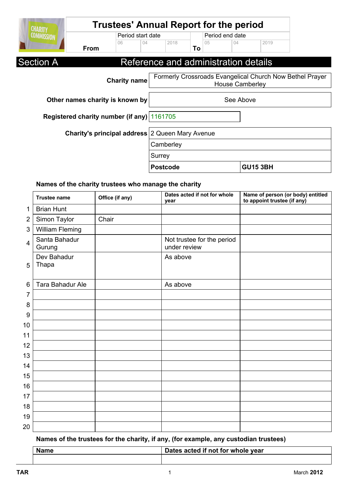| <b>CHARITY</b>    | <b>Trustees' Annual Report for the period</b>          |                     |        |                                      |    |                 |                        |                 |                                                          |
|-------------------|--------------------------------------------------------|---------------------|--------|--------------------------------------|----|-----------------|------------------------|-----------------|----------------------------------------------------------|
| <b>COMMISSION</b> |                                                        | Period start date   |        |                                      |    | Period end date |                        |                 |                                                          |
|                   | From                                                   | 06<br>04            |        | 2018                                 | To | 05              | 04                     | 2019            |                                                          |
| <b>Section A</b>  |                                                        |                     |        | Reference and administration details |    |                 |                        |                 |                                                          |
|                   |                                                        | <b>Charity name</b> |        |                                      |    |                 | <b>House Camberley</b> |                 | Formerly Crossroads Evangelical Church Now Bethel Prayer |
|                   | Other names charity is known by                        |                     |        |                                      |    |                 | See Above              |                 |                                                          |
|                   | Registered charity number (if any) 1161705             |                     |        |                                      |    |                 |                        |                 |                                                          |
|                   | <b>Charity's principal address</b> 2 Queen Mary Avenue |                     |        |                                      |    |                 |                        |                 |                                                          |
|                   |                                                        |                     |        | Camberley                            |    |                 |                        |                 |                                                          |
|                   |                                                        |                     | Surrey |                                      |    |                 |                        |                 |                                                          |
|                   |                                                        |                     |        | <b>Postcode</b>                      |    |                 |                        | <b>GU15 3BH</b> |                                                          |

### **Names of the charity trustees who manage the charity**

|                 | <b>Trustee name</b>     | Office (if any) | Dates acted if not for whole<br>year       | Name of person (or body) entitled<br>to appoint trustee (if any) |
|-----------------|-------------------------|-----------------|--------------------------------------------|------------------------------------------------------------------|
| 1               | <b>Brian Hunt</b>       |                 |                                            |                                                                  |
| $\overline{2}$  | Simon Taylor            | Chair           |                                            |                                                                  |
| 3               | William Fleming         |                 |                                            |                                                                  |
| $\overline{4}$  | Santa Bahadur<br>Gurung |                 | Not trustee for the period<br>under review |                                                                  |
| 5               | Dev Bahadur<br>Thapa    |                 | As above                                   |                                                                  |
| $6\phantom{1}6$ | Tara Bahadur Ale        |                 | As above                                   |                                                                  |
| 7               |                         |                 |                                            |                                                                  |
| 8               |                         |                 |                                            |                                                                  |
| 9               |                         |                 |                                            |                                                                  |
| 10              |                         |                 |                                            |                                                                  |
| 11              |                         |                 |                                            |                                                                  |
| 12              |                         |                 |                                            |                                                                  |
| 13              |                         |                 |                                            |                                                                  |
| 14              |                         |                 |                                            |                                                                  |
| 15              |                         |                 |                                            |                                                                  |
| 16              |                         |                 |                                            |                                                                  |
| 17              |                         |                 |                                            |                                                                  |
| 18              |                         |                 |                                            |                                                                  |
| 19              |                         |                 |                                            |                                                                  |
| 20              |                         |                 |                                            |                                                                  |

**Names of the trustees for the charity, if any, (for example, any custodian trustees)**

| <b>Name</b> | Dates acted if not for whole year |  |  |
|-------------|-----------------------------------|--|--|
|             |                                   |  |  |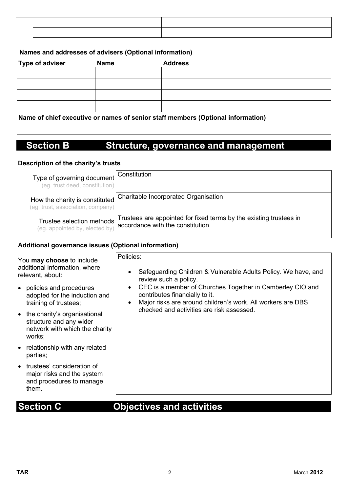### **Names and addresses of advisers (Optional information)**

| <b>Type of adviser</b>                                                           | <b>Name</b> | <b>Address</b> |  |  |
|----------------------------------------------------------------------------------|-------------|----------------|--|--|
|                                                                                  |             |                |  |  |
|                                                                                  |             |                |  |  |
|                                                                                  |             |                |  |  |
|                                                                                  |             |                |  |  |
| Nouse of chief expective or nomen of conjoy staff members (Ontional information) |             |                |  |  |

**Name of chief executive or names of senior staff members (Optional information)**

# **Section B Structure, governance and management**

### **Description of the charity's trusts**

| Type of governing document<br>(eg. trust deed, constitution)             | Constitution                                                                                            |
|--------------------------------------------------------------------------|---------------------------------------------------------------------------------------------------------|
| How the charity is constituted<br>(eg. trust, association, company)      | Charitable Incorporated Organisation                                                                    |
| Trustee selection methods <sup>1</sup><br>(eg. appointed by, elected by) | Trustees are appointed for fixed terms by the existing trustees in<br>accordance with the constitution. |

### **Additional governance issues (Optional information)**

| You may choose to include<br>additional information, where<br>relevant, about:                        | Policies:<br>Safeguarding Children & Vulnerable Adults Policy. We have, and<br>$\bullet$<br>review such a policy.                                                                    |
|-------------------------------------------------------------------------------------------------------|--------------------------------------------------------------------------------------------------------------------------------------------------------------------------------------|
| • policies and procedures<br>adopted for the induction and<br>training of trustees;                   | CEC is a member of Churches Together in Camberley CIO and<br>$\bullet$<br>contributes financially to it.<br>Major risks are around children's work. All workers are DBS<br>$\bullet$ |
| • the charity's organisational<br>structure and any wider<br>network with which the charity<br>works; | checked and activities are risk assessed.                                                                                                                                            |
| • relationship with any related<br>parties;                                                           |                                                                                                                                                                                      |
| • trustees' consideration of<br>major risks and the system<br>and procedures to manage<br>them.       |                                                                                                                                                                                      |

# **Section C Objectives and activities**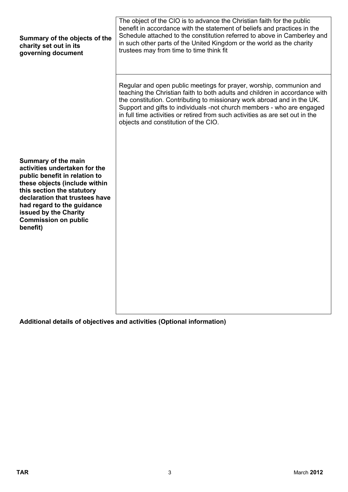| Summary of the objects of the<br>charity set out in its<br>governing document                                                                                                                                                                                                            | The object of the CIO is to advance the Christian faith for the public<br>benefit in accordance with the statement of beliefs and practices in the<br>Schedule attached to the constitution referred to above in Camberley and<br>in such other parts of the United Kingdom or the world as the charity<br>trustees may from time to time think fit                                                                              |
|------------------------------------------------------------------------------------------------------------------------------------------------------------------------------------------------------------------------------------------------------------------------------------------|----------------------------------------------------------------------------------------------------------------------------------------------------------------------------------------------------------------------------------------------------------------------------------------------------------------------------------------------------------------------------------------------------------------------------------|
|                                                                                                                                                                                                                                                                                          | Regular and open public meetings for prayer, worship, communion and<br>teaching the Christian faith to both adults and children in accordance with<br>the constitution. Contributing to missionary work abroad and in the UK.<br>Support and gifts to individuals -not church members - who are engaged<br>in full time activities or retired from such activities as are set out in the<br>objects and constitution of the CIO. |
| Summary of the main<br>activities undertaken for the<br>public benefit in relation to<br>these objects (include within<br>this section the statutory<br>declaration that trustees have<br>had regard to the guidance<br>issued by the Charity<br><b>Commission on public</b><br>benefit) |                                                                                                                                                                                                                                                                                                                                                                                                                                  |

**Additional details of objectives and activities (Optional information)**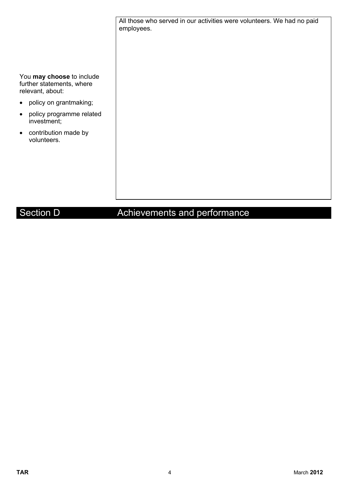All those who served in our activities were volunteers. We had no paid employees.

You **may choose** to include further statements, where relevant, about:

- policy on grantmaking;
- policy programme related investment;
- contribution made by volunteers.

# Section D **Achievements and performance**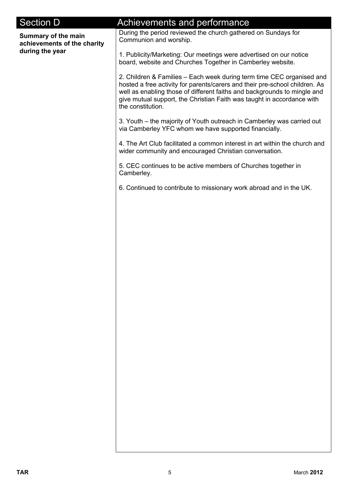| <b>Section D</b>                                   | Achievements and performance<br>During the period reviewed the church gathered on Sundays for                                                                                                                                                                                                                                   |
|----------------------------------------------------|---------------------------------------------------------------------------------------------------------------------------------------------------------------------------------------------------------------------------------------------------------------------------------------------------------------------------------|
| Summary of the main<br>achievements of the charity | Communion and worship.                                                                                                                                                                                                                                                                                                          |
| during the year                                    | 1. Publicity/Marketing: Our meetings were advertised on our notice<br>board, website and Churches Together in Camberley website.                                                                                                                                                                                                |
|                                                    | 2. Children & Families - Each week during term time CEC organised and<br>hosted a free activity for parents/carers and their pre-school children. As<br>well as enabling those of different faiths and backgrounds to mingle and<br>give mutual support, the Christian Faith was taught in accordance with<br>the constitution. |
|                                                    | 3. Youth – the majority of Youth outreach in Camberley was carried out<br>via Camberley YFC whom we have supported financially.                                                                                                                                                                                                 |
|                                                    | 4. The Art Club facilitated a common interest in art within the church and<br>wider community and encouraged Christian conversation.                                                                                                                                                                                            |
|                                                    | 5. CEC continues to be active members of Churches together in<br>Camberley.                                                                                                                                                                                                                                                     |
|                                                    | 6. Continued to contribute to missionary work abroad and in the UK.                                                                                                                                                                                                                                                             |
|                                                    |                                                                                                                                                                                                                                                                                                                                 |
|                                                    |                                                                                                                                                                                                                                                                                                                                 |
|                                                    |                                                                                                                                                                                                                                                                                                                                 |
|                                                    |                                                                                                                                                                                                                                                                                                                                 |
|                                                    |                                                                                                                                                                                                                                                                                                                                 |
|                                                    |                                                                                                                                                                                                                                                                                                                                 |
|                                                    |                                                                                                                                                                                                                                                                                                                                 |
|                                                    |                                                                                                                                                                                                                                                                                                                                 |
|                                                    |                                                                                                                                                                                                                                                                                                                                 |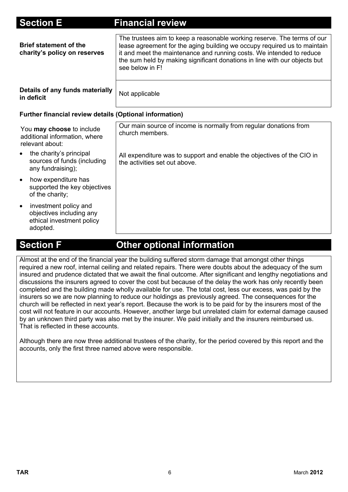| <b>Section E</b>                                                                                        | <b>Financial review</b>                                                                                                                                                                                                                                                                                                     |
|---------------------------------------------------------------------------------------------------------|-----------------------------------------------------------------------------------------------------------------------------------------------------------------------------------------------------------------------------------------------------------------------------------------------------------------------------|
| <b>Brief statement of the</b><br>charity's policy on reserves                                           | The trustees aim to keep a reasonable working reserve. The terms of our<br>lease agreement for the aging building we occupy required us to maintain<br>it and meet the maintenance and running costs. We intended to reduce<br>the sum held by making significant donations in line with our objects but<br>see below in F! |
| Details of any funds materially<br>in deficit                                                           | Not applicable                                                                                                                                                                                                                                                                                                              |
| Further financial review details (Optional information)                                                 |                                                                                                                                                                                                                                                                                                                             |
| You may choose to include<br>additional information, where<br>relevant about:                           | Our main source of income is normally from regular donations from<br>church members.                                                                                                                                                                                                                                        |
| the charity's principal<br>sources of funds (including<br>any fundraising);                             | All expenditure was to support and enable the objectives of the CIO in<br>the activities set out above.                                                                                                                                                                                                                     |
| how expenditure has<br>$\bullet$<br>supported the key objectives<br>of the charity;                     |                                                                                                                                                                                                                                                                                                                             |
| investment policy and<br>$\bullet$<br>objectives including any<br>ethical investment policy<br>adopted. |                                                                                                                                                                                                                                                                                                                             |

# **Section F Other optional information**

Almost at the end of the financial year the building suffered storm damage that amongst other things required a new roof, internal ceiling and related repairs. There were doubts about the adequacy of the sum insured and prudence dictated that we await the final outcome. After significant and lengthy negotiations and discussions the insurers agreed to cover the cost but because of the delay the work has only recently been completed and the building made wholly available for use. The total cost, less our excess, was paid by the insurers so we are now planning to reduce our holdings as previously agreed. The consequences for the church will be reflected in next year's report. Because the work is to be paid for by the insurers most of the cost will not feature in our accounts. However, another large but unrelated claim for external damage caused by an unknown third party was also met by the insurer. We paid initially and the insurers reimbursed us. That is reflected in these accounts.

Although there are now three additional trustees of the charity, for the period covered by this report and the accounts, only the first three named above were responsible.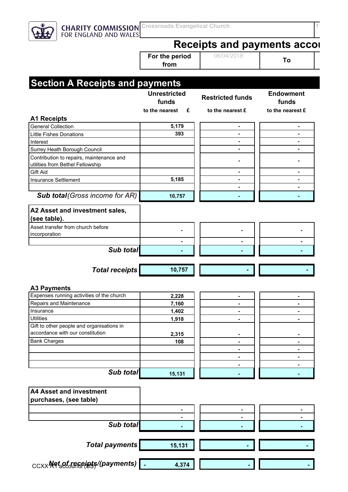**CHARITY COMMISSION** Crossroads Evangelical Church<br>**11618** FOR ENGLAND AND WALES

**Receipts and payments accor** 

**For the period from**

06/04/2018 **To** 

### $_{\text{CCXX}}$ Net<sub>a</sub>of receipts/(payments) **- 4,374 - 1001/2020** - 1 **Section A Receipts and payments Unrestricted funds Restricted funds Endowment funds to the nearest £ to the nearest £ to the nearest £ A1 Receipts**  General Collection **5,179 - -**  Little Fishes Donations<br> **Alternations** Interest **- -**  Surrey Heath Borough Council **- -**  Contribution to repairs, maintenance and utilities from Bethel Fellowship<br>
utilities from Bethel Fellowship Gift Aid **- -**  Insurance Settlement **1** 5,185 **Figure 1** 5,185 **Figure 1 - - - - - - - - - - - - - - -Sub total***(Gross income for AR)* **10,757 1 10,757 1 1 A2 Asset and investment sales, (see table).** Asset transfer from church before Asset datision change both change of the component of the component of the component of the component of the comp<br>incorporation  **- - - Sub total 1 1 1 1 1 1 1 1 Total receipts** 10,757 **A3 Payments** Expenses running activities of the church **2,228** - **1** Repairs and Maintenance<br> **Repairs and Maintenance** Insurance 1,402 -Utilities **1,918 - -**  Gift to other people and organisations in accordance with our constitution **2,315 Bank Charges** 2008 - **108 - 108 - 108 - 108 - 108 - 108 - 108 - 108 - 108 - 109 - 109 - 109 - 109 - 109 - 109 - 109 - 109 - 109 - 109 - 109 - 109 - 109 - 109 - 109 - 109 - 109 - 109 - 109 - 109 - 109 - 109 - 109 - 109 - 1 - - - - - - - - - - - - - - - - - - - - - - - - - - - - - - - - - - - - - - - - - - - - -Sub total** 15,131 **A4 Asset and investment purchases, (see table) - - - - - - Sub total Total payments** 15,131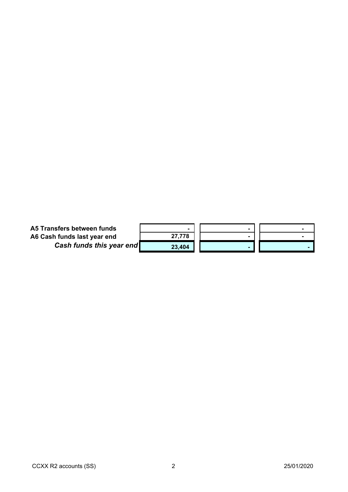| A5 Transfers between funds      |        |  |
|---------------------------------|--------|--|
| A6 Cash funds last year end     | 27,778 |  |
| <b>Cash funds this year end</b> | 23,404 |  |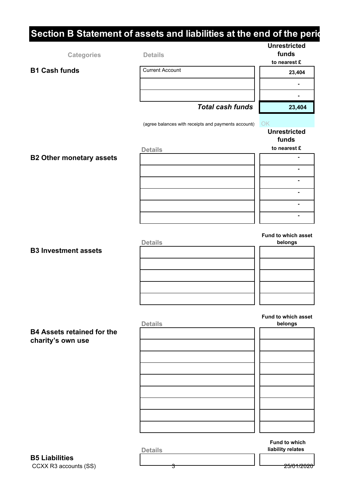# **Section B Statement of assets and liabilities at the end of the periodist**

|                                   |                                                     | <b>Unrestricted</b>            |
|-----------------------------------|-----------------------------------------------------|--------------------------------|
| <b>Categories</b>                 | <b>Details</b>                                      | funds                          |
|                                   |                                                     | to nearest £                   |
| <b>B1 Cash funds</b>              | <b>Current Account</b>                              | 23,404                         |
|                                   |                                                     | ۰                              |
|                                   |                                                     |                                |
|                                   | <b>Total cash funds</b>                             | 23,404                         |
|                                   |                                                     |                                |
|                                   | (agree balances with receipts and payments account( | OK                             |
|                                   |                                                     | <b>Unrestricted</b>            |
|                                   |                                                     | funds                          |
|                                   | <b>Details</b>                                      | to nearest £                   |
| <b>B2 Other monetary assets</b>   |                                                     | ۰                              |
|                                   |                                                     | $\blacksquare$                 |
|                                   |                                                     | $\blacksquare$                 |
|                                   |                                                     | $\blacksquare$                 |
|                                   |                                                     | $\blacksquare$                 |
|                                   |                                                     | ۰                              |
|                                   |                                                     |                                |
|                                   | <b>Details</b>                                      | Fund to which asset<br>belongs |
| <b>B3 Investment assets</b>       |                                                     |                                |
|                                   |                                                     |                                |
|                                   |                                                     |                                |
|                                   |                                                     |                                |
|                                   |                                                     |                                |
|                                   |                                                     |                                |
|                                   | <b>Details</b>                                      | Fund to which asset<br>belongs |
| <b>B4 Assets retained for the</b> |                                                     |                                |
| charity's own use                 |                                                     |                                |
|                                   |                                                     |                                |
|                                   |                                                     |                                |
|                                   |                                                     |                                |
|                                   |                                                     |                                |
|                                   |                                                     |                                |
|                                   |                                                     |                                |
|                                   |                                                     |                                |

CCXX R3 accounts (SS)  $\frac{1}{3}$  3 **B5 Liabilities**

**Fund to which Details liability relates**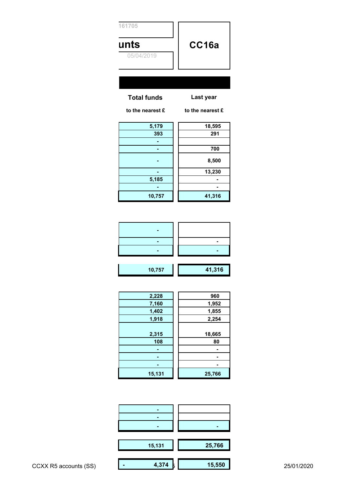| 161705             |                  |
|--------------------|------------------|
| unts               | CC16a            |
| 05/04/2019         |                  |
|                    |                  |
|                    |                  |
| <b>Total funds</b> | Last year        |
| to the nearest £   | to the nearest £ |
|                    | $\sim$ $\sim$    |

| 5,179  | 18,595 |
|--------|--------|
| 393    | 291    |
|        |        |
|        | 700    |
|        | 8,500  |
|        | 13,230 |
| 5,185  |        |
|        |        |
| 10,757 | 41,316 |

| 10,757 | 41,316 |  |
|--------|--------|--|

| 2,228  | 960    |
|--------|--------|
| 7,160  | 1,952  |
| 1,402  | 1,855  |
| 1,918  | 2,254  |
|        |        |
| 2,315  | 18,665 |
| 108    | 80     |
|        |        |
|        |        |
|        |        |
| 15,131 | 25,766 |
|        |        |

|                       | $\blacksquare$ | $\blacksquare$ |            |
|-----------------------|----------------|----------------|------------|
|                       | 15,131         | 25,766         |            |
| CCXX R5 accounts (SS) | 4,374          | 15,550         | 25/01/2020 |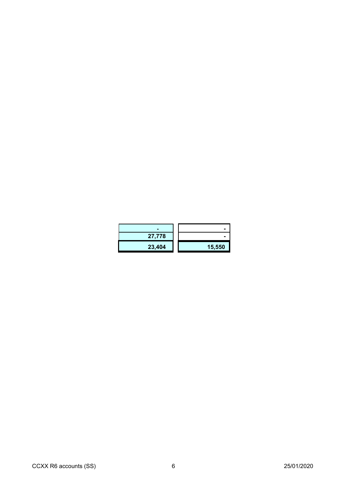| 27,778 | -      |
|--------|--------|
| 23,404 | 15,550 |